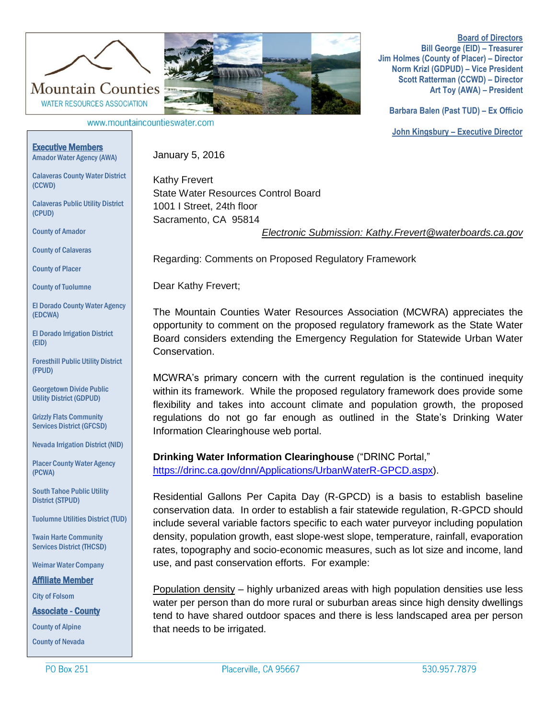

**Board of Directors Bill George (EID) – Treasurer Jim Holmes (County of Placer) – Director Norm Krizl (GDPUD) – Vice President Scott Ratterman (CCWD) – Director Art Toy (AWA) – President**

www.mountaincountieswater.com

**Barbara Balen (Past TUD) – Ex Officio John Kingsbury – Executive Director** 

## Executive Members Amador Water Agency (AWA)

Calaveras County Water District

WATER RESOURCES ASSOCIATION

Calaveras Public Utility District

**County of Placer** 

(EDCWA)

(EID)

(FPUD)

(PCWA)

County of Amador

County of Calaveras

County of Tuolumne

(CCWD)

(CPUD)

. Foresthill Public Utility District

Georgetown Divide Public Utility District (GDPUD)

Grizzly Flats Community Services District (GFCSD)

Nevada Irrigation District (NID)

Placer County Water Agency

South Tahoe Public Utility

El Dorado Irrigation District

El Dorado County Water Agency

January 5, 2016

Kathy Frevert State Water Resources Control Board 1001 I Street, 24th floor Sacramento, CA 95814

*Electronic Submission: Kathy.Frevert@waterboards.ca.gov*

Regarding: Comments on Proposed Regulatory Framework

Dear Kathy Frevert;

The Mountain Counties Water Resources Association (MCWRA) appreciates the opportunity to comment on the proposed regulatory framework as the State Water Board considers extending the Emergency Regulation for Statewide Urban Water Conservation.

MCWRA's primary concern with the current regulation is the continued inequity within its framework. While the proposed regulatory framework does provide some flexibility and takes into account climate and population growth, the proposed regulations do not go far enough as outlined in the State's Drinking Water Information Clearinghouse web portal.

**Drinking Water Information Clearinghouse** ("DRINC Portal," [https://drinc.ca.gov/dnn/Applications/UrbanWaterR-GPCD.aspx\)](https://drinc.ca.gov/dnn/Applications/UrbanWaterR-GPCD.aspx).

Residential Gallons Per Capita Day (R-GPCD) is a basis to establish baseline conservation data. In order to establish a fair statewide regulation, R-GPCD should include several variable factors specific to each water purveyor including population density, population growth, east slope-west slope, temperature, rainfall, evaporation rates, topography and socio-economic measures, such as lot size and income, land use, and past conservation efforts. For example:

Population density – highly urbanized areas with high population densities use less water per person than do more rural or suburban areas since high density dwellings tend to have shared outdoor spaces and there is less landscaped area per person that needs to be irrigated.

Twain Harte Community Services District (THCSD)

Weimar Water Company

Affiliate Member

City of Folsom

Associate - County

County of Alpine

County of Nevada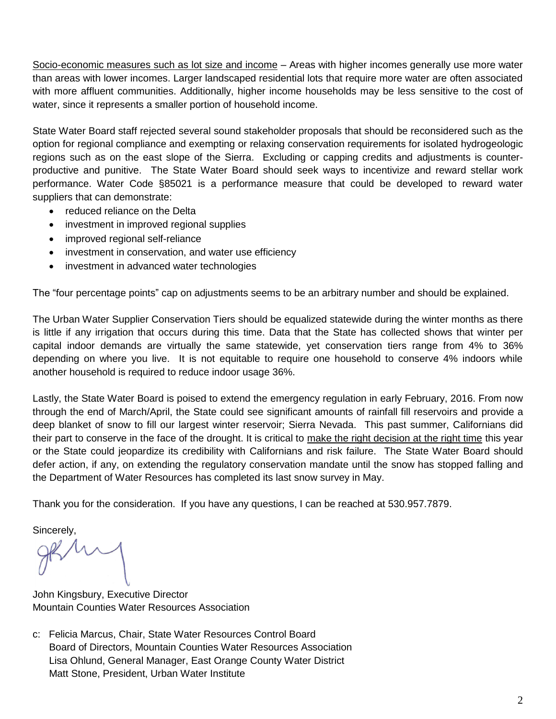Socio-economic measures such as lot size and income – Areas with higher incomes generally use more water than areas with lower incomes. Larger landscaped residential lots that require more water are often associated with more affluent communities. Additionally, higher income households may be less sensitive to the cost of water, since it represents a smaller portion of household income.

State Water Board staff rejected several sound stakeholder proposals that should be reconsidered such as the option for regional compliance and exempting or relaxing conservation requirements for isolated hydrogeologic regions such as on the east slope of the Sierra. Excluding or capping credits and adjustments is counterproductive and punitive. The State Water Board should seek ways to incentivize and reward stellar work performance. Water Code §85021 is a performance measure that could be developed to reward water suppliers that can demonstrate:

- reduced reliance on the Delta
- investment in improved regional supplies
- improved regional self-reliance
- investment in conservation, and water use efficiency
- investment in advanced water technologies

The "four percentage points" cap on adjustments seems to be an arbitrary number and should be explained.

The Urban Water Supplier Conservation Tiers should be equalized statewide during the winter months as there is little if any irrigation that occurs during this time. Data that the State has collected shows that winter per capital indoor demands are virtually the same statewide, yet conservation tiers range from 4% to 36% depending on where you live. It is not equitable to require one household to conserve 4% indoors while another household is required to reduce indoor usage 36%.

Lastly, the State Water Board is poised to extend the emergency regulation in early February, 2016. From now through the end of March/April, the State could see significant amounts of rainfall fill reservoirs and provide a deep blanket of snow to fill our largest winter reservoir; Sierra Nevada. This past summer, Californians did their part to conserve in the face of the drought. It is critical to make the right decision at the right time this year or the State could jeopardize its credibility with Californians and risk failure. The State Water Board should defer action, if any, on extending the regulatory conservation mandate until the snow has stopped falling and the Department of Water Resources has completed its last snow survey in May.

Thank you for the consideration. If you have any questions, I can be reached at 530.957.7879.

Sincerely.

John Kingsbury, Executive Director Mountain Counties Water Resources Association

c: Felicia Marcus, Chair, State Water Resources Control Board Board of Directors, Mountain Counties Water Resources Association Lisa Ohlund, General Manager, East Orange County Water District Matt Stone, President, Urban Water Institute